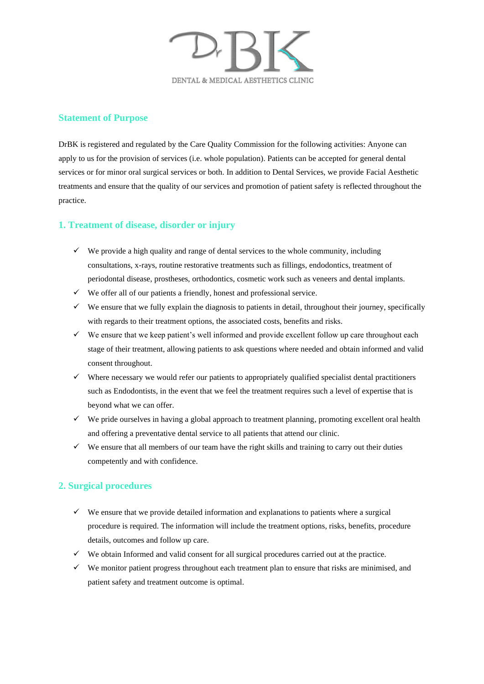

#### **Statement of Purpose**

DrBK is registered and regulated by the Care Quality Commission for the following activities: Anyone can apply to us for the provision of services (i.e. whole population). Patients can be accepted for general dental services or for minor oral surgical services or both. In addition to Dental Services, we provide Facial Aesthetic treatments and ensure that the quality of our services and promotion of patient safety is reflected throughout the practice.

## **1. Treatment of disease, disorder or injury**

- $\checkmark$  We provide a high quality and range of dental services to the whole community, including consultations, x-rays, routine restorative treatments such as fillings, endodontics, treatment of periodontal disease, prostheses, orthodontics, cosmetic work such as veneers and dental implants.
- ✓ We offer all of our patients a friendly, honest and professional service.
- $\checkmark$  We ensure that we fully explain the diagnosis to patients in detail, throughout their journey, specifically with regards to their treatment options, the associated costs, benefits and risks.
- $\checkmark$  We ensure that we keep patient's well informed and provide excellent follow up care throughout each stage of their treatment, allowing patients to ask questions where needed and obtain informed and valid consent throughout.
- ✓ Where necessary we would refer our patients to appropriately qualified specialist dental practitioners such as Endodontists, in the event that we feel the treatment requires such a level of expertise that is beyond what we can offer.
- $\checkmark$  We pride ourselves in having a global approach to treatment planning, promoting excellent oral health and offering a preventative dental service to all patients that attend our clinic.
- $\checkmark$  We ensure that all members of our team have the right skills and training to carry out their duties competently and with confidence.

#### **2. Surgical procedures**

- $\checkmark$  We ensure that we provide detailed information and explanations to patients where a surgical procedure is required. The information will include the treatment options, risks, benefits, procedure details, outcomes and follow up care.
- $\checkmark$  We obtain Informed and valid consent for all surgical procedures carried out at the practice.
- $\checkmark$  We monitor patient progress throughout each treatment plan to ensure that risks are minimised, and patient safety and treatment outcome is optimal.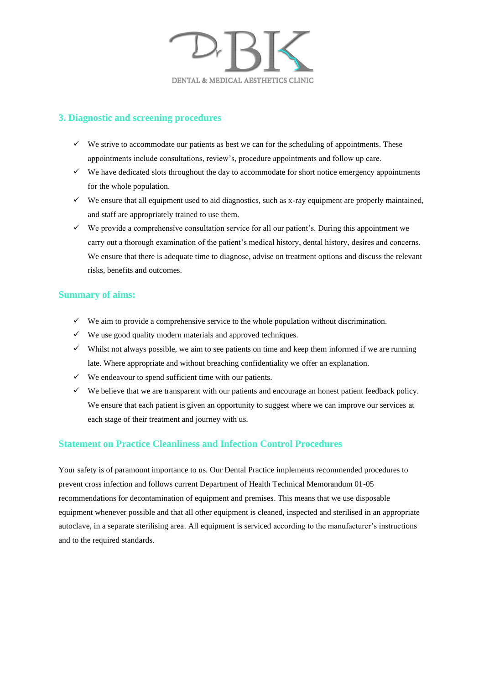

### **3. Diagnostic and screening procedures**

- $\checkmark$  We strive to accommodate our patients as best we can for the scheduling of appointments. These appointments include consultations, review's, procedure appointments and follow up care.
- $\checkmark$  We have dedicated slots throughout the day to accommodate for short notice emergency appointments for the whole population.
- $\checkmark$  We ensure that all equipment used to aid diagnostics, such as x-ray equipment are properly maintained, and staff are appropriately trained to use them.
- $\checkmark$  We provide a comprehensive consultation service for all our patient's. During this appointment we carry out a thorough examination of the patient's medical history, dental history, desires and concerns. We ensure that there is adequate time to diagnose, advise on treatment options and discuss the relevant risks, benefits and outcomes.

#### **Summary of aims:**

- $\checkmark$  We aim to provide a comprehensive service to the whole population without discrimination.
- ✓ We use good quality modern materials and approved techniques.
- $\checkmark$  Whilst not always possible, we aim to see patients on time and keep them informed if we are running late. Where appropriate and without breaching confidentiality we offer an explanation.
- $\checkmark$  We endeavour to spend sufficient time with our patients.
- ✓ We believe that we are transparent with our patients and encourage an honest patient feedback policy. We ensure that each patient is given an opportunity to suggest where we can improve our services at each stage of their treatment and journey with us.

#### **Statement on Practice Cleanliness and Infection Control Procedures**

Your safety is of paramount importance to us. Our Dental Practice implements recommended procedures to prevent cross infection and follows current Department of Health Technical Memorandum 01-05 recommendations for decontamination of equipment and premises. This means that we use disposable equipment whenever possible and that all other equipment is cleaned, inspected and sterilised in an appropriate autoclave, in a separate sterilising area. All equipment is serviced according to the manufacturer's instructions and to the required standards.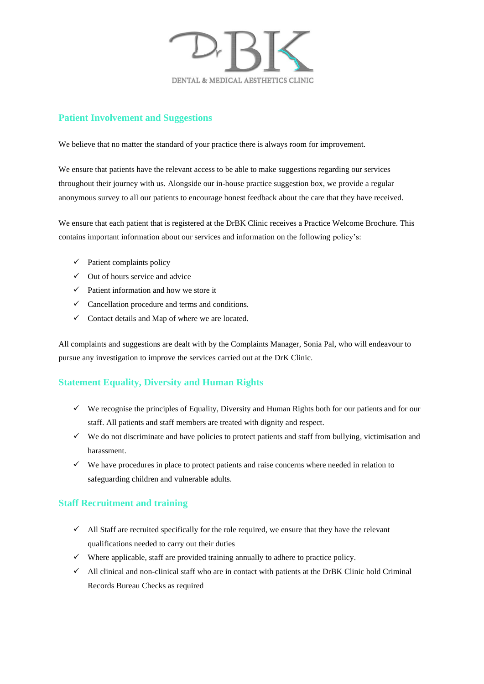

#### **Patient Involvement and Suggestions**

We believe that no matter the standard of your practice there is always room for improvement.

We ensure that patients have the relevant access to be able to make suggestions regarding our services throughout their journey with us. Alongside our in-house practice suggestion box, we provide a regular anonymous survey to all our patients to encourage honest feedback about the care that they have received.

We ensure that each patient that is registered at the DrBK Clinic receives a Practice Welcome Brochure. This contains important information about our services and information on the following policy's:

- $\checkmark$  Patient complaints policy
- $\checkmark$  Out of hours service and advice
- $\checkmark$  Patient information and how we store it
- $\checkmark$  Cancellation procedure and terms and conditions.
- $\checkmark$  Contact details and Map of where we are located.

All complaints and suggestions are dealt with by the Complaints Manager, Sonia Pal, who will endeavour to pursue any investigation to improve the services carried out at the DrK Clinic.

## **Statement Equality, Diversity and Human Rights**

- $\checkmark$  We recognise the principles of Equality, Diversity and Human Rights both for our patients and for our staff. All patients and staff members are treated with dignity and respect.
- $\checkmark$  We do not discriminate and have policies to protect patients and staff from bullying, victimisation and harassment.
- $\checkmark$  We have procedures in place to protect patients and raise concerns where needed in relation to safeguarding children and vulnerable adults.

## **Staff Recruitment and training**

- ✓ All Staff are recruited specifically for the role required, we ensure that they have the relevant qualifications needed to carry out their duties
- $\checkmark$  Where applicable, staff are provided training annually to adhere to practice policy.
- $\checkmark$  All clinical and non-clinical staff who are in contact with patients at the DrBK Clinic hold Criminal Records Bureau Checks as required